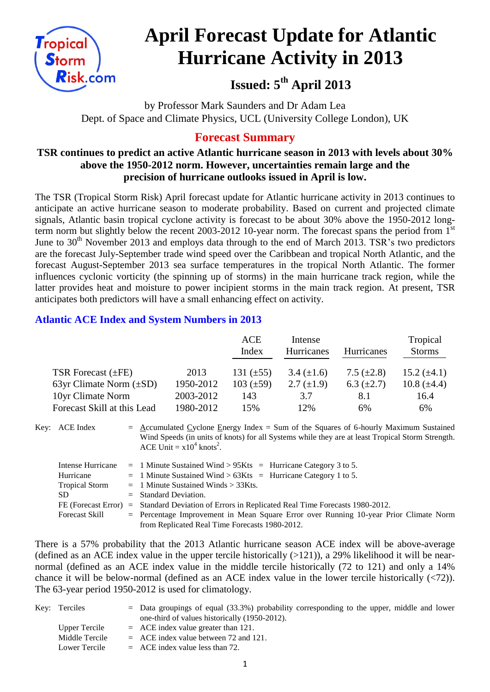

# **April Forecast Update for Atlantic Hurricane Activity in 2013**

**Issued: 5 th April 2013**

by Professor Mark Saunders and Dr Adam Lea Dept. of Space and Climate Physics, UCL (University College London), UK

# **Forecast Summary**

# **TSR continues to predict an active Atlantic hurricane season in 2013 with levels about 30% above the 1950-2012 norm. However, uncertainties remain large and the precision of hurricane outlooks issued in April is low.**

The TSR (Tropical Storm Risk) April forecast update for Atlantic hurricane activity in 2013 continues to anticipate an active hurricane season to moderate probability. Based on current and projected climate signals, Atlantic basin tropical cyclone activity is forecast to be about 30% above the 1950-2012 longterm norm but slightly below the recent 2003-2012 10-year norm. The forecast spans the period from 1<sup>st</sup> June to 30<sup>th</sup> November 2013 and employs data through to the end of March 2013. TSR's two predictors are the forecast July-September trade wind speed over the Caribbean and tropical North Atlantic, and the forecast August-September 2013 sea surface temperatures in the tropical North Atlantic. The former influences cyclonic vorticity (the spinning up of storms) in the main hurricane track region, while the latter provides heat and moisture to power incipient storms in the main track region. At present, TSR anticipates both predictors will have a small enhancing effect on activity.

# **Atlantic ACE Index and System Numbers in 2013**

|                              |           | <b>ACE</b><br>Index | Intense<br>Hurricanes | <b>Hurricanes</b> | Tropical<br><b>Storms</b> |
|------------------------------|-----------|---------------------|-----------------------|-------------------|---------------------------|
| TSR Forecast $(\pm FE)$      | 2013      | 131 $(\pm 55)$      | 3.4 $(\pm 1.6)$       | 7.5 $(\pm 2.8)$   | 15.2 $(\pm 4.1)$          |
| 63yr Climate Norm $(\pm SD)$ | 1950-2012 | $103 (\pm 59)$      | 2.7 $(\pm 1.9)$       | 6.3 $(\pm 2.7)$   | 10.8 $(\pm 4.4)$          |
| 10yr Climate Norm            | 2003-2012 | 143                 | 3.7                   | 8.1               | 16.4                      |
| Forecast Skill at this Lead  | 1980-2012 | 15%                 | 12%                   | 6%                | 6%                        |

Key: ACE Index =  $\triangle$ ccumulated Cyclone Energy Index = Sum of the Squares of 6-hourly Maximum Sustained Wind Speeds (in units of knots) for all Systems while they are at least Tropical Storm Strength. ACE Unit =  $x10^4$  knots<sup>2</sup>.

| Intense Hurricane     | $=$ 1 Minute Sustained Wind > 95Kts $=$ Hurricane Category 3 to 5.                      |
|-----------------------|-----------------------------------------------------------------------------------------|
| Hurricane             | $=$ 1 Minute Sustained Wind > 63Kts $=$ Hurricane Category 1 to 5.                      |
| <b>Tropical Storm</b> | $=$ 1 Minute Sustained Winds $>$ 33Kts.                                                 |
| SD.                   | $=$ Standard Deviation.                                                                 |
| FE (Forecast Error)   | $=$ Standard Deviation of Errors in Replicated Real Time Forecasts 1980-2012.           |
| <b>Forecast Skill</b> | $=$ Percentage Improvement in Mean Square Error over Running 10-year Prior Climate Norm |
|                       | from Replicated Real Time Forecasts 1980-2012.                                          |

There is a 57% probability that the 2013 Atlantic hurricane season ACE index will be above-average (defined as an ACE index value in the upper tercile historically  $(>121)$ ), a 29% likelihood it will be nearnormal (defined as an ACE index value in the middle tercile historically (72 to 121) and only a 14% chance it will be below-normal (defined as an ACE index value in the lower tercile historically (<72)). The 63-year period 1950-2012 is used for climatology.

| Key: Terciles  | $=$ Data groupings of equal (33.3%) probability corresponding to the upper, middle and lower |
|----------------|----------------------------------------------------------------------------------------------|
|                | one-third of values historically (1950-2012).                                                |
| Upper Tercile  | $=$ ACE index value greater than 121.                                                        |
| Middle Tercile | $=$ ACE index value between 72 and 121.                                                      |
| Lower Tercile  | $=$ ACE index value less than 72.                                                            |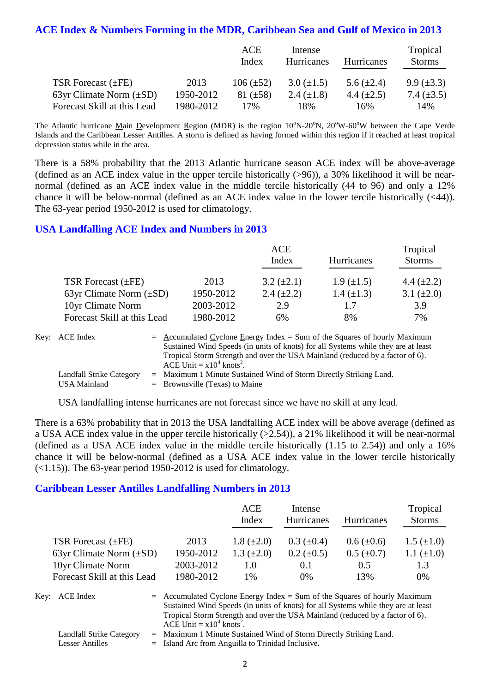# **ACE Index & Numbers Forming in the MDR, Caribbean Sea and Gulf of Mexico in 2013**

|                              |           | ACE<br>Index   | Intense<br>Hurricanes | <b>Hurricanes</b> | Tropical<br><b>Storms</b> |
|------------------------------|-----------|----------------|-----------------------|-------------------|---------------------------|
| TSR Forecast $(\pm FE)$      | 2013      | $106 (\pm 52)$ | $3.0 (\pm 1.5)$       | 5.6 $(\pm 2.4)$   | $9.9 \ (\pm 3.3)$         |
| 63yr Climate Norm $(\pm SD)$ | 1950-2012 | $81 (\pm 58)$  | 2.4 $(\pm 1.8)$       | 4.4 $(\pm 2.5)$   | 7.4 $(\pm 3.5)$           |
| Forecast Skill at this Lead  | 1980-2012 | 17%            | 18%                   | 16%               | 14%                       |

The Atlantic hurricane Main Development Region (MDR) is the region  $10^{\circ}N-20^{\circ}N$ ,  $20^{\circ}W-60^{\circ}W$  between the Cape Verde Islands and the Caribbean Lesser Antilles. A storm is defined as having formed within this region if it reached at least tropical depression status while in the area.

There is a 58% probability that the 2013 Atlantic hurricane season ACE index will be above-average (defined as an ACE index value in the upper tercile historically (>96)), a 30% likelihood it will be nearnormal (defined as an ACE index value in the middle tercile historically (44 to 96) and only a 12% chance it will be below-normal (defined as an ACE index value in the lower tercile historically (<44)). The 63-year period 1950-2012 is used for climatology.

#### **USA Landfalling ACE Index and Numbers in 2013**

|                              |           | ACE               |                   | Tropical        |
|------------------------------|-----------|-------------------|-------------------|-----------------|
|                              |           | Index             | Hurricanes        | <b>Storms</b>   |
| TSR Forecast $(\pm FE)$      | 2013      | $3.2 \ (\pm 2.1)$ | $1.9 \ (\pm 1.5)$ | 4.4 $(\pm 2.2)$ |
| 63yr Climate Norm $(\pm SD)$ | 1950-2012 | 2.4 $(\pm 2.2)$   | 1.4 $(\pm 1.3)$   | 3.1 $(\pm 2.0)$ |
| 10yr Climate Norm            | 2003-2012 | 2.9               | 1.7               | 3.9             |
| Forecast Skill at this Lead  | 1980-2012 | 6%                | 8%                | 7%              |

| Key: ACE Index                                         | $=$ Accumulated Cyclone Energy Index $=$ Sum of the Squares of hourly Maximum<br>Sustained Wind Speeds (in units of knots) for all Systems while they are at least<br>Tropical Storm Strength and over the USA Mainland (reduced by a factor of 6).<br>ACE Unit $= x10^4$ knots <sup>2</sup> . |
|--------------------------------------------------------|------------------------------------------------------------------------------------------------------------------------------------------------------------------------------------------------------------------------------------------------------------------------------------------------|
| <b>Landfall Strike Category</b><br><b>USA Mainland</b> | $=$ Maximum 1 Minute Sustained Wind of Storm Directly Striking Land.<br>$=$ Brownsville (Texas) to Maine                                                                                                                                                                                       |

USA landfalling intense hurricanes are not forecast since we have no skill at any lead.

There is a 63% probability that in 2013 the USA landfalling ACE index will be above average (defined as a USA ACE index value in the upper tercile historically (>2.54)), a 21% likelihood it will be near-normal (defined as a USA ACE index value in the middle tercile historically (1.15 to 2.54)) and only a 16% chance it will be below-normal (defined as a USA ACE index value in the lower tercile historically  $(\leq 1.15)$ ). The 63-year period 1950-2012 is used for climatology.

#### **Caribbean Lesser Antilles Landfalling Numbers in 2013**

|                              |           | ACE<br>Index      | Intense<br>Hurricanes | <b>Hurricanes</b> | Tropical<br><b>Storms</b> |
|------------------------------|-----------|-------------------|-----------------------|-------------------|---------------------------|
| TSR Forecast $(\pm FE)$      | 2013      | $1.8 (\pm 2.0)$   | $0.3~(\pm 0.4)$       | $0.6 (\pm 0.6)$   | $1.5 \ (\pm 1.0)$         |
| 63yr Climate Norm $(\pm SD)$ | 1950-2012 | $1.3 \ (\pm 2.0)$ | $0.2 \ (\pm 0.5)$     | $0.5~(\pm 0.7)$   | 1.1 $(\pm 1.0)$           |
| 10yr Climate Norm            | 2003-2012 | 1.0               | 0.1                   | 0.5               | 1.3                       |
| Forecast Skill at this Lead  | 1980-2012 | 1%                | $0\%$                 | 13%               | 0%                        |

Key:  $ACE Index = Accumulated Cyclone Energy Index = Sum of the Squares of hourly Maximum$ Sustained Wind Speeds (in units of knots) for all Systems while they are at least Tropical Storm Strength and over the USA Mainland (reduced by a factor of 6). ACE Unit =  $x10^4$  knots<sup>2</sup>.

Landfall Strike Category = Maximum 1 Minute Sustained Wind of Storm Directly Striking Land.

Lesser Antilles = Island Arc from Anguilla to Trinidad Inclusive.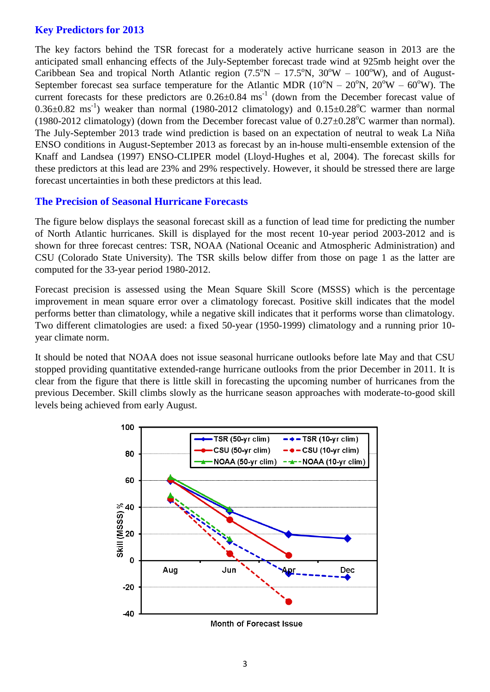#### **Key Predictors for 2013**

The key factors behind the TSR forecast for a moderately active hurricane season in 2013 are the anticipated small enhancing effects of the July-September forecast trade wind at 925mb height over the Caribbean Sea and tropical North Atlantic region  $(7.5^{\circ}N - 17.5^{\circ}N, 30^{\circ}W - 100^{\circ}W)$ , and of August-September forecast sea surface temperature for the Atlantic MDR ( $10^{\circ}N - 20^{\circ}N$ ,  $20^{\circ}W - 60^{\circ}W$ ). The current forecasts for these predictors are  $0.26 \pm 0.84$  ms<sup>-1</sup> (down from the December forecast value of  $0.36\pm0.82$  ms<sup>-1</sup>) weaker than normal (1980-2012 climatology) and  $0.15\pm0.28$ °C warmer than normal (1980-2012 climatology) (down from the December forecast value of  $0.27 \pm 0.28^{\circ}$ C warmer than normal). The July-September 2013 trade wind prediction is based on an expectation of neutral to weak La Niña ENSO conditions in August-September 2013 as forecast by an in-house multi-ensemble extension of the Knaff and Landsea (1997) ENSO-CLIPER model (Lloyd-Hughes et al, 2004). The forecast skills for these predictors at this lead are 23% and 29% respectively. However, it should be stressed there are large forecast uncertainties in both these predictors at this lead.

## **The Precision of Seasonal Hurricane Forecasts**

The figure below displays the seasonal forecast skill as a function of lead time for predicting the number of North Atlantic hurricanes. Skill is displayed for the most recent 10-year period 2003-2012 and is shown for three forecast centres: TSR, NOAA (National Oceanic and Atmospheric Administration) and CSU (Colorado State University). The TSR skills below differ from those on page 1 as the latter are computed for the 33-year period 1980-2012.

Forecast precision is assessed using the Mean Square Skill Score (MSSS) which is the percentage improvement in mean square error over a climatology forecast. Positive skill indicates that the model performs better than climatology, while a negative skill indicates that it performs worse than climatology. Two different climatologies are used: a fixed 50-year (1950-1999) climatology and a running prior 10 year climate norm.

It should be noted that NOAA does not issue seasonal hurricane outlooks before late May and that CSU stopped providing quantitative extended-range hurricane outlooks from the prior December in 2011. It is clear from the figure that there is little skill in forecasting the upcoming number of hurricanes from the previous December. Skill climbs slowly as the hurricane season approaches with moderate-to-good skill levels being achieved from early August.



Month of Forecast Issue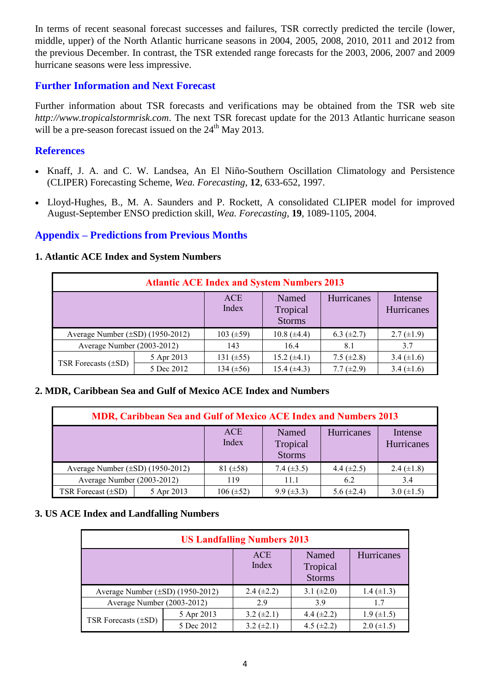In terms of recent seasonal forecast successes and failures, TSR correctly predicted the tercile (lower, middle, upper) of the North Atlantic hurricane seasons in 2004, 2005, 2008, 2010, 2011 and 2012 from the previous December. In contrast, the TSR extended range forecasts for the 2003, 2006, 2007 and 2009 hurricane seasons were less impressive.

#### **Further Information and Next Forecast**

Further information about TSR forecasts and verifications may be obtained from the TSR web site *http://www.tropicalstormrisk.com*. The next TSR forecast update for the 2013 Atlantic hurricane season will be a pre-season forecast issued on the  $24<sup>th</sup>$  May 2013.

## **References**

- Knaff, J. A. and C. W. Landsea, An El Niño-Southern Oscillation Climatology and Persistence (CLIPER) Forecasting Scheme, *Wea. Forecasting*, **12**, 633-652, 1997.
- [Lloyd-Hughes, B., M. A. Saunders and P. Rockett, A consolidated CLIPER model for improved](http://www.tropicalstormrisk.com/docs/Lloyd-Hughesetal2004.pdf)  [August-September ENSO prediction skill,](http://www.tropicalstormrisk.com/docs/Lloyd-Hughesetal2004.pdf) *Wea. Forecasting*, **19**, 1089-1105, 2004.

# **Appendix – Predictions from Previous Months**

#### **1. Atlantic ACE Index and System Numbers**

| <b>Atlantic ACE Index and System Numbers 2013</b> |            |                     |                                    |                 |                       |  |  |
|---------------------------------------------------|------------|---------------------|------------------------------------|-----------------|-----------------------|--|--|
|                                                   |            | <b>ACE</b><br>Index | Named<br>Tropical<br><b>Storms</b> | Hurricanes      | Intense<br>Hurricanes |  |  |
| Average Number $(\pm SD)$ (1950-2012)             |            | 103 $(\pm 59)$      | $10.8 (\pm 4.4)$                   | 6.3 $(\pm 2.7)$ | $2.7 \ (\pm 1.9)$     |  |  |
| Average Number (2003-2012)                        |            | 143                 | 16.4                               | 8.1             | 3.7                   |  |  |
| TSR Forecasts $(\pm SD)$                          | 5 Apr 2013 | 131 $(\pm 55)$      | $15.2 (\pm 4.1)$                   | 7.5 $(\pm 2.8)$ | 3.4 $(\pm 1.6)$       |  |  |
|                                                   | 5 Dec 2012 | 134 $(\pm 56)$      | $15.4 (\pm 4.3)$                   | 7.7 $(\pm 2.9)$ | 3.4 $(\pm 1.6)$       |  |  |

#### **2. MDR, Caribbean Sea and Gulf of Mexico ACE Index and Numbers**

| <b>MDR, Caribbean Sea and Gulf of Mexico ACE Index and Numbers 2013</b> |            |                     |                                    |                 |                       |  |  |  |
|-------------------------------------------------------------------------|------------|---------------------|------------------------------------|-----------------|-----------------------|--|--|--|
|                                                                         |            | <b>ACE</b><br>Index | Named<br>Tropical<br><b>Storms</b> | Hurricanes      | Intense<br>Hurricanes |  |  |  |
| Average Number $(\pm SD)$ (1950-2012)                                   |            | $81 (\pm 58)$       | 7.4 $(\pm 3.5)$                    | 4.4 $(\pm 2.5)$ | 2.4 $(\pm 1.8)$       |  |  |  |
| Average Number (2003-2012)                                              |            | 119                 | 11.1                               | 6.2             | 3.4                   |  |  |  |
| TSR Forecast $(\pm SD)$                                                 | 5 Apr 2013 | $106 (\pm 52)$      | $9.9 \ (\pm 3.3)$                  | 5.6 $(\pm 2.4)$ | 3.0 $(\pm 1.5)$       |  |  |  |

#### **3. US ACE Index and Landfalling Numbers**

| <b>US Landfalling Numbers 2013</b>    |            |                     |                                    |                   |  |  |  |
|---------------------------------------|------------|---------------------|------------------------------------|-------------------|--|--|--|
|                                       |            | <b>ACE</b><br>Index | Named<br>Tropical<br><b>Storms</b> | Hurricanes        |  |  |  |
| Average Number $(\pm SD)$ (1950-2012) |            | 2.4 $(\pm 2.2)$     | 3.1 $(\pm 2.0)$                    | $1.4 \ (\pm 1.3)$ |  |  |  |
| Average Number (2003-2012)            |            | 29                  | 3.9                                | 1.7               |  |  |  |
| TSR Forecasts $(\pm SD)$              | 5 Apr 2013 | 3.2 $(\pm 2.1)$     | 4.4 $(\pm 2.2)$                    | $1.9 \ (\pm 1.5)$ |  |  |  |
|                                       | 5 Dec 2012 | $3.2 (\pm 2.1)$     | 4.5 $(\pm 2.2)$                    | $2.0 \ (\pm 1.5)$ |  |  |  |